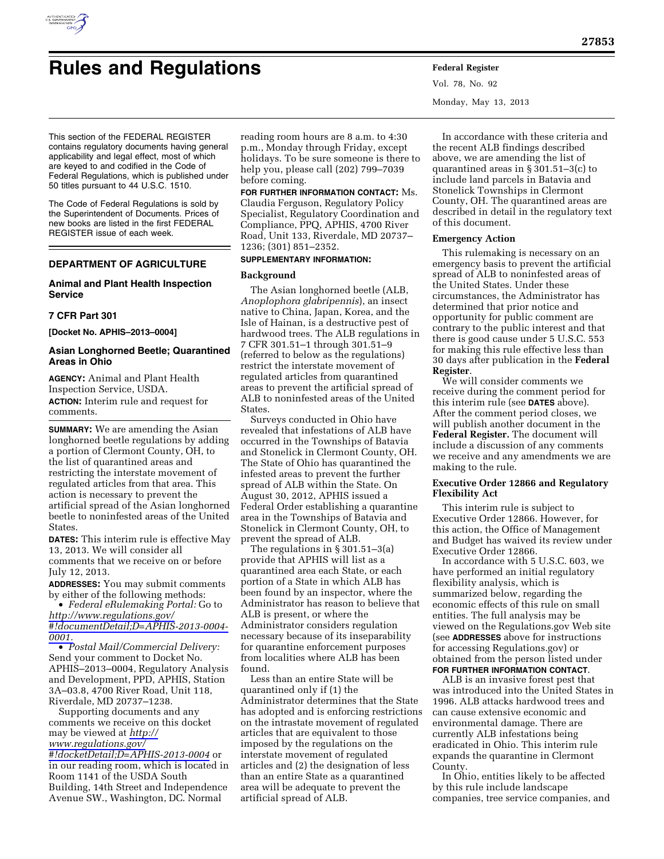

# **Rules and Regulations Federal Register**

Vol. 78, No. 92 Monday, May 13, 2013

This section of the FEDERAL REGISTER contains regulatory documents having general applicability and legal effect, most of which are keyed to and codified in the Code of Federal Regulations, which is published under 50 titles pursuant to 44 U.S.C. 1510.

The Code of Federal Regulations is sold by the Superintendent of Documents. Prices of new books are listed in the first FEDERAL REGISTER issue of each week.

## **DEPARTMENT OF AGRICULTURE**

## **Animal and Plant Health Inspection Service**

## **7 CFR Part 301**

**[Docket No. APHIS–2013–0004]** 

## **Asian Longhorned Beetle; Quarantined Areas in Ohio**

**AGENCY:** Animal and Plant Health Inspection Service, USDA. **ACTION:** Interim rule and request for comments.

**SUMMARY:** We are amending the Asian longhorned beetle regulations by adding a portion of Clermont County, OH, to the list of quarantined areas and restricting the interstate movement of regulated articles from that area. This action is necessary to prevent the artificial spread of the Asian longhorned beetle to noninfested areas of the United States.

**DATES:** This interim rule is effective May 13, 2013. We will consider all comments that we receive on or before July 12, 2013.

**ADDRESSES:** You may submit comments by either of the following methods:

• *Federal eRulemaking Portal:* Go to *[http://www.regulations.gov/](http://www.regulations.gov/#!documentDetail;D=APHIS-2013-0004-0001)  [#!documentDetail;D=APHIS-2013-0004-](http://www.regulations.gov/#!documentDetail;D=APHIS-2013-0004-0001) [0001.](http://www.regulations.gov/#!documentDetail;D=APHIS-2013-0004-0001)* 

• *Postal Mail/Commercial Delivery:*  Send your comment to Docket No. APHIS–2013–0004, Regulatory Analysis and Development, PPD, APHIS, Station 3A–03.8, 4700 River Road, Unit 118, Riverdale, MD 20737–1238.

Supporting documents and any comments we receive on this docket may be viewed at *[http://](http://www.regulations.gov/#!docketDetail;D=APHIS-2013-0004)  [www.regulations.gov/](http://www.regulations.gov/#!docketDetail;D=APHIS-2013-0004) [#!docketDetail;D=APHIS-2013-0004](http://www.regulations.gov/#!docketDetail;D=APHIS-2013-0004)* or in our reading room, which is located in Room 1141 of the USDA South Building, 14th Street and Independence Avenue SW., Washington, DC. Normal

reading room hours are 8 a.m. to 4:30 p.m., Monday through Friday, except holidays. To be sure someone is there to help you, please call (202) 799–7039 before coming.

**FOR FURTHER INFORMATION CONTACT:** Ms. Claudia Ferguson, Regulatory Policy Specialist, Regulatory Coordination and Compliance, PPQ, APHIS, 4700 River Road, Unit 133, Riverdale, MD 20737– 1236; (301) 851–2352.

#### **SUPPLEMENTARY INFORMATION:**

## **Background**

The Asian longhorned beetle (ALB, *Anoplophora glabripennis*), an insect native to China, Japan, Korea, and the Isle of Hainan, is a destructive pest of hardwood trees. The ALB regulations in 7 CFR 301.51–1 through 301.51–9 (referred to below as the regulations) restrict the interstate movement of regulated articles from quarantined areas to prevent the artificial spread of ALB to noninfested areas of the United **States** 

Surveys conducted in Ohio have revealed that infestations of ALB have occurred in the Townships of Batavia and Stonelick in Clermont County, OH. The State of Ohio has quarantined the infested areas to prevent the further spread of ALB within the State. On August 30, 2012, APHIS issued a Federal Order establishing a quarantine area in the Townships of Batavia and Stonelick in Clermont County, OH, to prevent the spread of ALB.

The regulations in § 301.51–3(a) provide that APHIS will list as a quarantined area each State, or each portion of a State in which ALB has been found by an inspector, where the Administrator has reason to believe that ALB is present, or where the Administrator considers regulation necessary because of its inseparability for quarantine enforcement purposes from localities where ALB has been found.

Less than an entire State will be quarantined only if (1) the Administrator determines that the State has adopted and is enforcing restrictions on the intrastate movement of regulated articles that are equivalent to those imposed by the regulations on the interstate movement of regulated articles and (2) the designation of less than an entire State as a quarantined area will be adequate to prevent the artificial spread of ALB.

In accordance with these criteria and the recent ALB findings described above, we are amending the list of quarantined areas in § 301.51–3(c) to include land parcels in Batavia and Stonelick Townships in Clermont County, OH. The quarantined areas are described in detail in the regulatory text of this document.

## **Emergency Action**

This rulemaking is necessary on an emergency basis to prevent the artificial spread of ALB to noninfested areas of the United States. Under these circumstances, the Administrator has determined that prior notice and opportunity for public comment are contrary to the public interest and that there is good cause under 5 U.S.C. 553 for making this rule effective less than 30 days after publication in the **Federal Register**.

We will consider comments we receive during the comment period for this interim rule (see **DATES** above). After the comment period closes, we will publish another document in the **Federal Register.** The document will include a discussion of any comments we receive and any amendments we are making to the rule.

## **Executive Order 12866 and Regulatory Flexibility Act**

This interim rule is subject to Executive Order 12866. However, for this action, the Office of Management and Budget has waived its review under Executive Order 12866.

In accordance with 5 U.S.C. 603, we have performed an initial regulatory flexibility analysis, which is summarized below, regarding the economic effects of this rule on small entities. The full analysis may be viewed on the Regulations.gov Web site (see **ADDRESSES** above for instructions for accessing Regulations.gov) or obtained from the person listed under **FOR FURTHER INFORMATION CONTACT**.

ALB is an invasive forest pest that was introduced into the United States in 1996. ALB attacks hardwood trees and can cause extensive economic and environmental damage. There are currently ALB infestations being eradicated in Ohio. This interim rule expands the quarantine in Clermont County.

In Ohio, entities likely to be affected by this rule include landscape companies, tree service companies, and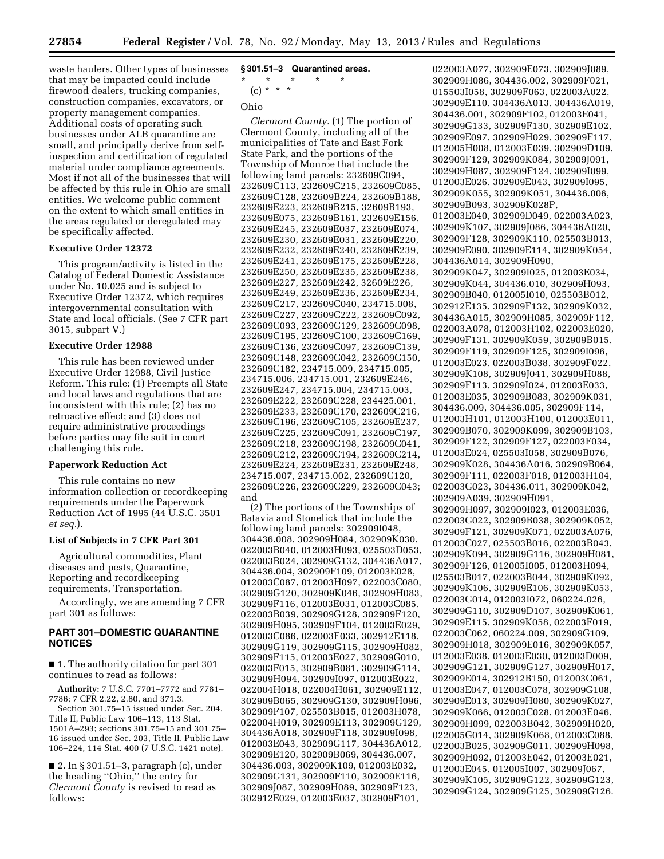waste haulers. Other types of businesses that may be impacted could include firewood dealers, trucking companies, construction companies, excavators, or property management companies. Additional costs of operating such businesses under ALB quarantine are small, and principally derive from selfinspection and certification of regulated material under compliance agreements. Most if not all of the businesses that will be affected by this rule in Ohio are small entities. We welcome public comment on the extent to which small entities in the areas regulated or deregulated may be specifically affected.

## **Executive Order 12372**

This program/activity is listed in the Catalog of Federal Domestic Assistance under No. 10.025 and is subject to Executive Order 12372, which requires intergovernmental consultation with State and local officials. (See 7 CFR part 3015, subpart V.)

## **Executive Order 12988**

This rule has been reviewed under Executive Order 12988, Civil Justice Reform. This rule: (1) Preempts all State and local laws and regulations that are inconsistent with this rule; (2) has no retroactive effect; and (3) does not require administrative proceedings before parties may file suit in court challenging this rule.

## **Paperwork Reduction Act**

This rule contains no new information collection or recordkeeping requirements under the Paperwork Reduction Act of 1995 (44 U.S.C. 3501 *et seq.*).

#### **List of Subjects in 7 CFR Part 301**

Agricultural commodities, Plant diseases and pests, Quarantine, Reporting and recordkeeping requirements, Transportation.

Accordingly, we are amending 7 CFR part 301 as follows:

## **PART 301–DOMESTIC QUARANTINE NOTICES**

■ 1. The authority citation for part 301 continues to read as follows:

**Authority:** 7 U.S.C. 7701–7772 and 7781– 7786; 7 CFR 2.22, 2.80, and 371.3.

Section 301.75–15 issued under Sec. 204, Title II, Public Law 106–113, 113 Stat. 1501A–293; sections 301.75–15 and 301.75– 16 issued under Sec. 203, Title II, Public Law 106–224, 114 Stat. 400 (7 U.S.C. 1421 note).

■ 2. In § 301.51–3, paragraph (c), under the heading ''Ohio,'' the entry for *Clermont County* is revised to read as follows:

## **§ 301.51–3 Quarantined areas.**

\* \* \* \* \*

## (c) \* \* \*

## Ohio

*Clermont County.* (1) The portion of Clermont County, including all of the municipalities of Tate and East Fork State Park, and the portions of the Township of Monroe that include the following land parcels: 232609C094, 232609C113, 232609C215, 232609C085, 232609C128, 232609B224, 232609B188, 232609E223, 232609B215, 32609B193, 232609E075, 232609B161, 232609E156, 232609E245, 232609E037, 232609E074, 232609E230, 232609E031, 232609E220, 232609E232, 232609E240, 232609E239, 232609E241, 232609E175, 232609E228, 232609E250, 232609E235, 232609E238, 232609E227, 232609E242, 32609E226, 232609E249, 232609E236, 232609E234, 232609C217, 232609C040, 234715.008, 232609C227, 232609C222, 232609C092, 232609C093, 232609C129, 232609C098, 232609C195, 232609C100, 232609C169, 232609C136, 232609C097, 232609C139, 232609C148, 232609C042, 232609C150, 232609C182, 234715.009, 234715.005, 234715.006, 234715.001, 232609E246, 232609E247, 234715.004, 234715.003, 232609E222, 232609C228, 234425.001, 232609E233, 232609C170, 232609C216, 232609C196, 232609C105, 232609E237, 232609C225, 232609C091, 232609C197, 232609C218, 232609C198, 232609C041, 232609C212, 232609C194, 232609C214, 232609E224, 232609E231, 232609E248, 234715.007, 234715.002, 232609C120, 232609C226, 232609C229, 232609C043; and

(2) The portions of the Townships of Batavia and Stonelick that include the following land parcels: 302909I048, 304436.008, 302909H084, 302909K030, 022003B040, 012003H093, 025503D053, 022003B024, 302909G132, 304436A017, 304436.004, 302909F109, 012003E028, 012003C087, 012003H097, 022003C080, 302909G120, 302909K046, 302909H083, 302909F116, 012003E031, 012003C085, 022003B039, 302909G128, 302909F120, 302909H095, 302909F104, 012003E029, 012003C086, 022003F033, 302912E118, 302909G119, 302909G115, 302909H082, 302909F115, 012003E027, 302909G010, 022003F015, 302909B081, 302909G114, 302909H094, 302909I097, 012003E022, 022004H018, 022004H061, 302909E112, 302909B065, 302909G130, 302909H096, 302909F107, 025503B015, 012003H078, 022004H019, 302909E113, 302909G129, 304436A018, 302909F118, 302909I098, 012003E043, 302909G117, 304436A012, 302909E120, 302909B069, 304436.007, 304436.003, 302909K109, 012003E032, 302909G131, 302909F110, 302909E116, 302909J087, 302909H089, 302909F123, 302912E029, 012003E037, 302909F101,

022003A077, 302909E073, 302909J089, 302909H086, 304436.002, 302909F021, 015503I058, 302909F063, 022003A022, 302909E110, 304436A013, 304436A019, 304436.001, 302909F102, 012003E041, 302909G133, 302909F130, 302909E102, 302909E097, 302909H029, 302909F117, 012005H008, 012003E039, 302909D109, 302909F129, 302909K084, 302909J091, 302909H087, 302909F124, 302909I099, 012003E026, 302909E043, 302909I095, 302909K055, 302909K051, 304436.006, 302909B093, 302909K028P, 012003E040, 302909D049, 022003A023, 302909K107, 302909J086, 304436A020, 302909F128, 302909K110, 025503B013, 302909E090, 302909E114, 302909K054, 304436A014, 302909H090, 302909K047, 302909I025, 012003E034, 302909K044, 304436.010, 302909H093, 302909B040, 012005I010, 025503B012, 302912E135, 302909F132, 302909K032, 304436A015, 302909H085, 302909F112, 022003A078, 012003H102, 022003E020, 302909F131, 302909K059, 302909B015, 302909F119, 302909F125, 302909I096, 012003E023, 022003B038, 302909F022, 302909K108, 302909J041, 302909H088, 302909F113, 302909I024, 012003E033, 012003E035, 302909B083, 302909K031, 304436.009, 304436.005, 302909F114, 012003H101, 012003H100, 012003E011, 302909B070, 302909K099, 302909B103, 302909F122, 302909F127, 022003F034, 012003E024, 025503I058, 302909B076, 302909K028, 304436A016, 302909B064, 302909F111, 022003F018, 012003H104, 022003G023, 304436.011, 302909K042, 302909A039, 302909H091, 302909H097, 302909I023, 012003E036, 022003G022, 302909B038, 302909K052, 302909F121, 302909K071, 022003A076, 012003C027, 025503B016, 022003B043, 302909K094, 302909G116, 302909H081, 302909F126, 012005I005, 012003H094, 025503B017, 022003B044, 302909K092, 302909K106, 302909E106, 302909K053, 022003G014, 012003I072, 060224.026, 302909G110, 302909D107, 302909K061, 302909E115, 302909K058, 022003F019, 022003C062, 060224.009, 302909G109, 302909H018, 302909E016, 302909K057, 012003E038, 012003E030, 012003D009, 302909G121, 302909G127, 302909H017, 302909E014, 302912B150, 012003C061, 012003E047, 012003C078, 302909G108, 302909E013, 302909H080, 302909K027, 302909K066, 012003C028, 012003E046, 302909H099, 022003B042, 302909H020, 022005G014, 302909K068, 012003C088, 022003B025, 302909G011, 302909H098, 302909H092, 012003E042, 012003E021, 012003E045, 012005I007, 302909J067, 302909K105, 302909G122, 302909G123, 302909G124, 302909G125, 302909G126.